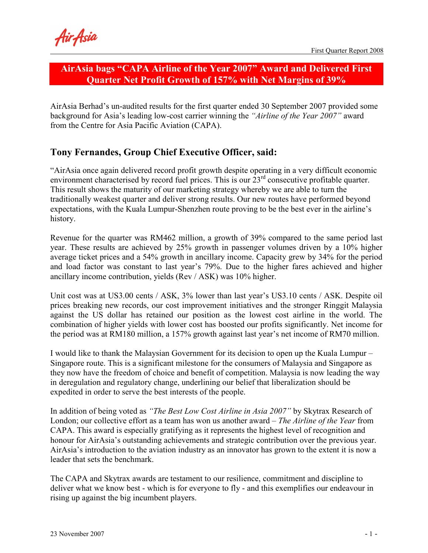# AirAsia bags "CAPA Airline of the Year 2007" Award and Delivered First Quarter Net Profit Growth of 157% with Net Margins of 39%

AirAsia Berhad's un-audited results for the first quarter ended 30 September 2007 provided some background for Asia's leading low-cost carrier winning the "Airline of the Year 2007" award from the Centre for Asia Pacific Aviation (CAPA).

# Tony Fernandes, Group Chief Executive Officer, said:

"AirAsia once again delivered record profit growth despite operating in a very difficult economic environment characterised by record fuel prices. This is our  $23<sup>rd</sup>$  consecutive profitable quarter. This result shows the maturity of our marketing strategy whereby we are able to turn the traditionally weakest quarter and deliver strong results. Our new routes have performed beyond expectations, with the Kuala Lumpur-Shenzhen route proving to be the best ever in the airline's history.

Revenue for the quarter was RM462 million, a growth of 39% compared to the same period last year. These results are achieved by 25% growth in passenger volumes driven by a 10% higher average ticket prices and a 54% growth in ancillary income. Capacity grew by 34% for the period and load factor was constant to last year's 79%. Due to the higher fares achieved and higher ancillary income contribution, yields (Rev / ASK) was 10% higher.

Unit cost was at US3.00 cents / ASK, 3% lower than last year's US3.10 cents / ASK. Despite oil prices breaking new records, our cost improvement initiatives and the stronger Ringgit Malaysia against the US dollar has retained our position as the lowest cost airline in the world. The combination of higher yields with lower cost has boosted our profits significantly. Net income for the period was at RM180 million, a 157% growth against last year's net income of RM70 million.

I would like to thank the Malaysian Government for its decision to open up the Kuala Lumpur – Singapore route. This is a significant milestone for the consumers of Malaysia and Singapore as they now have the freedom of choice and benefit of competition. Malaysia is now leading the way in deregulation and regulatory change, underlining our belief that liberalization should be expedited in order to serve the best interests of the people.

In addition of being voted as "The Best Low Cost Airline in Asia 2007" by Skytrax Research of London; our collective effort as a team has won us another award – The Airline of the Year from CAPA. This award is especially gratifying as it represents the highest level of recognition and honour for AirAsia's outstanding achievements and strategic contribution over the previous year. AirAsia's introduction to the aviation industry as an innovator has grown to the extent it is now a leader that sets the benchmark.

The CAPA and Skytrax awards are testament to our resilience, commitment and discipline to deliver what we know best - which is for everyone to fly - and this exemplifies our endeavour in rising up against the big incumbent players.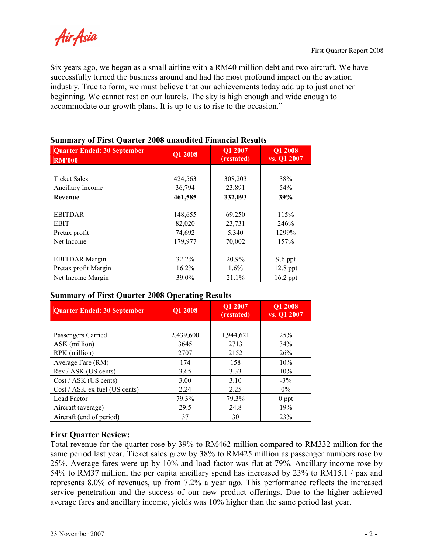Air Asia

Six years ago, we began as a small airline with a RM40 million debt and two aircraft. We have successfully turned the business around and had the most profound impact on the aviation industry. True to form, we must believe that our achievements today add up to just another beginning. We cannot rest on our laurels. The sky is high enough and wide enough to accommodate our growth plans. It is up to us to rise to the occasion."

| <b>Quarter Ended: 30 September</b><br><b>RM'000</b> | Q1 2008  | Q1 2007<br>(restated) | <b>Q1 2008</b><br>vs. Q1 2007 |
|-----------------------------------------------------|----------|-----------------------|-------------------------------|
|                                                     |          |                       |                               |
| <b>Ticket Sales</b>                                 | 424,563  | 308,203               | 38%                           |
| Ancillary Income                                    | 36,794   | 23,891                | 54%                           |
| <b>Revenue</b>                                      | 461,585  | 332,093               | 39%                           |
|                                                     |          |                       |                               |
| <b>EBITDAR</b>                                      | 148,655  | 69,250                | 115%                          |
| <b>EBIT</b>                                         | 82,020   | 23,731                | 246%                          |
| Pretax profit                                       | 74,692   | 5,340                 | 1299%                         |
| Net Income                                          | 179,977  | 70,002                | 157%                          |
|                                                     |          |                       |                               |
| <b>EBITDAR Margin</b>                               | 32.2%    | 20.9%                 | $9.6$ ppt                     |
| Pretax profit Margin                                | $16.2\%$ | $1.6\%$               | $12.8$ ppt                    |
| Net Income Margin                                   | 39.0%    | 21.1%                 | $16.2$ ppt                    |

## Summary of First Quarter 2008 unaudited Financial Results

## Summary of First Quarter 2008 Operating Results

|                                    | $\overline{\phantom{a}}$ |                       |                        |
|------------------------------------|--------------------------|-----------------------|------------------------|
| <b>Quarter Ended: 30 September</b> | Q1 2008                  | Q1 2007<br>(restated) | Q1 2008<br>vs. Q1 2007 |
|                                    |                          |                       |                        |
| Passengers Carried                 | 2,439,600                | 1,944,621             | 25%                    |
| ASK (million)                      | 3645                     | 2713                  | 34%                    |
| RPK (million)                      | 2707                     | 2152                  | 26%                    |
| Average Fare (RM)                  | 174                      | 158                   | 10%                    |
| Rev / ASK (US cents)               | 3.65                     | 3.33                  | 10%                    |
| Cost / ASK (US cents)              | 3.00                     | 3.10                  | $-3\%$                 |
| Cost / ASK-ex fuel (US cents)      | 2.24                     | 2.25                  | $0\%$                  |
| Load Factor                        | 79.3%                    | 79.3%                 | $0$ ppt                |
| Aircraft (average)                 | 29.5                     | 24.8                  | 19%                    |
| Aircraft (end of period)           | 37                       | 30                    | 23%                    |

## First Quarter Review:

Total revenue for the quarter rose by 39% to RM462 million compared to RM332 million for the same period last year. Ticket sales grew by 38% to RM425 million as passenger numbers rose by 25%. Average fares were up by 10% and load factor was flat at 79%. Ancillary income rose by 54% to RM37 million, the per capita ancillary spend has increased by 23% to RM15.1 / pax and represents 8.0% of revenues, up from 7.2% a year ago. This performance reflects the increased service penetration and the success of our new product offerings. Due to the higher achieved average fares and ancillary income, yields was 10% higher than the same period last year.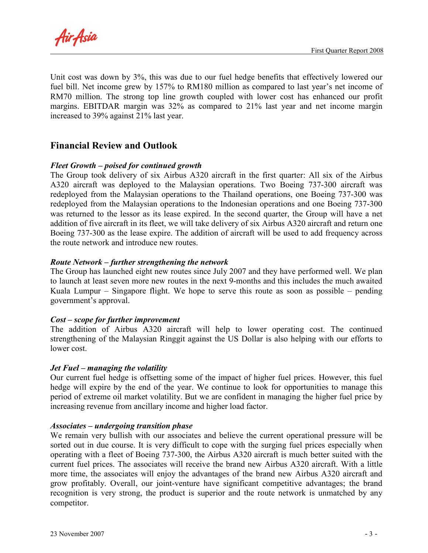Air Asia

Unit cost was down by 3%, this was due to our fuel hedge benefits that effectively lowered our fuel bill. Net income grew by 157% to RM180 million as compared to last year's net income of RM70 million. The strong top line growth coupled with lower cost has enhanced our profit margins. EBITDAR margin was 32% as compared to 21% last year and net income margin increased to 39% against 21% last year.

## Financial Review and Outlook

## Fleet Growth – poised for continued growth

The Group took delivery of six Airbus A320 aircraft in the first quarter: All six of the Airbus A320 aircraft was deployed to the Malaysian operations. Two Boeing 737-300 aircraft was redeployed from the Malaysian operations to the Thailand operations, one Boeing 737-300 was redeployed from the Malaysian operations to the Indonesian operations and one Boeing 737-300 was returned to the lessor as its lease expired. In the second quarter, the Group will have a net addition of five aircraft in its fleet, we will take delivery of six Airbus A320 aircraft and return one Boeing 737-300 as the lease expire. The addition of aircraft will be used to add frequency across the route network and introduce new routes.

#### Route Network – further strengthening the network

The Group has launched eight new routes since July 2007 and they have performed well. We plan to launch at least seven more new routes in the next 9-months and this includes the much awaited Kuala Lumpur – Singapore flight. We hope to serve this route as soon as possible – pending government's approval.

#### Cost – scope for further improvement

The addition of Airbus A320 aircraft will help to lower operating cost. The continued strengthening of the Malaysian Ringgit against the US Dollar is also helping with our efforts to lower cost.

#### Jet Fuel – managing the volatility

Our current fuel hedge is offsetting some of the impact of higher fuel prices. However, this fuel hedge will expire by the end of the year. We continue to look for opportunities to manage this period of extreme oil market volatility. But we are confident in managing the higher fuel price by increasing revenue from ancillary income and higher load factor.

#### Associates – undergoing transition phase

We remain very bullish with our associates and believe the current operational pressure will be sorted out in due course. It is very difficult to cope with the surging fuel prices especially when operating with a fleet of Boeing 737-300, the Airbus A320 aircraft is much better suited with the current fuel prices. The associates will receive the brand new Airbus A320 aircraft. With a little more time, the associates will enjoy the advantages of the brand new Airbus A320 aircraft and grow profitably. Overall, our joint-venture have significant competitive advantages; the brand recognition is very strong, the product is superior and the route network is unmatched by any competitor.